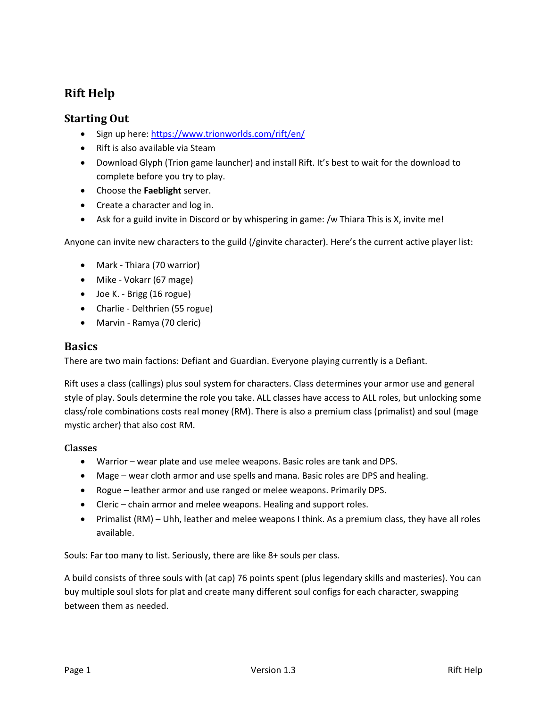# **Rift Help**

# **Starting Out**

- Sign up here:<https://www.trionworlds.com/rift/en/>
- Rift is also available via Steam
- Download Glyph (Trion game launcher) and install Rift. It's best to wait for the download to complete before you try to play.
- Choose the **Faeblight** server.
- Create a character and log in.
- Ask for a guild invite in Discord or by whispering in game: /w Thiara This is X, invite me!

Anyone can invite new characters to the guild (/ginvite character). Here's the current active player list:

- Mark Thiara (70 warrior)
- Mike Vokarr (67 mage)
- Joe K. Brigg (16 rogue)
- Charlie Delthrien (55 rogue)
- Marvin Ramya (70 cleric)

## **Basics**

There are two main factions: Defiant and Guardian. Everyone playing currently is a Defiant.

Rift uses a class (callings) plus soul system for characters. Class determines your armor use and general style of play. Souls determine the role you take. ALL classes have access to ALL roles, but unlocking some class/role combinations costs real money (RM). There is also a premium class (primalist) and soul (mage mystic archer) that also cost RM.

#### **Classes**

- Warrior wear plate and use melee weapons. Basic roles are tank and DPS.
- Mage wear cloth armor and use spells and mana. Basic roles are DPS and healing.
- Rogue leather armor and use ranged or melee weapons. Primarily DPS.
- Cleric chain armor and melee weapons. Healing and support roles.
- Primalist (RM) Uhh, leather and melee weapons I think. As a premium class, they have all roles available.

Souls: Far too many to list. Seriously, there are like 8+ souls per class.

A build consists of three souls with (at cap) 76 points spent (plus legendary skills and masteries). You can buy multiple soul slots for plat and create many different soul configs for each character, swapping between them as needed.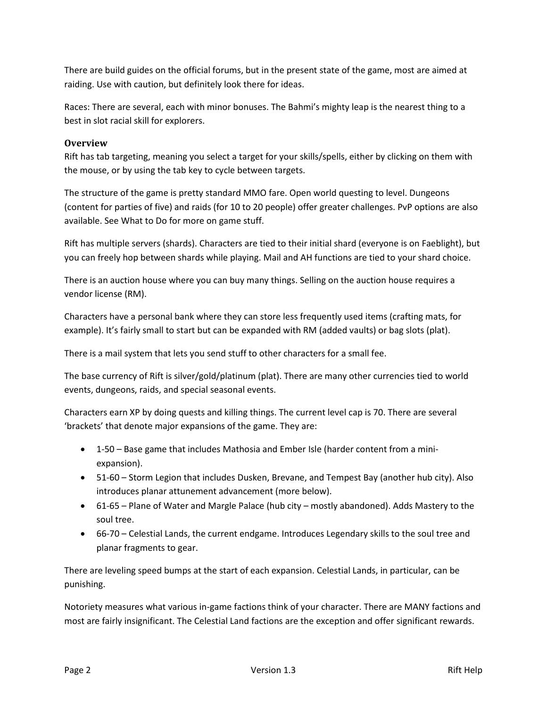There are build guides on the official forums, but in the present state of the game, most are aimed at raiding. Use with caution, but definitely look there for ideas.

Races: There are several, each with minor bonuses. The Bahmi's mighty leap is the nearest thing to a best in slot racial skill for explorers.

#### **Overview**

Rift has tab targeting, meaning you select a target for your skills/spells, either by clicking on them with the mouse, or by using the tab key to cycle between targets.

The structure of the game is pretty standard MMO fare. Open world questing to level. Dungeons (content for parties of five) and raids (for 10 to 20 people) offer greater challenges. PvP options are also available. See What to Do for more on game stuff.

Rift has multiple servers (shards). Characters are tied to their initial shard (everyone is on Faeblight), but you can freely hop between shards while playing. Mail and AH functions are tied to your shard choice.

There is an auction house where you can buy many things. Selling on the auction house requires a vendor license (RM).

Characters have a personal bank where they can store less frequently used items (crafting mats, for example). It's fairly small to start but can be expanded with RM (added vaults) or bag slots (plat).

There is a mail system that lets you send stuff to other characters for a small fee.

The base currency of Rift is silver/gold/platinum (plat). There are many other currencies tied to world events, dungeons, raids, and special seasonal events.

Characters earn XP by doing quests and killing things. The current level cap is 70. There are several 'brackets' that denote major expansions of the game. They are:

- 1-50 Base game that includes Mathosia and Ember Isle (harder content from a miniexpansion).
- 51-60 Storm Legion that includes Dusken, Brevane, and Tempest Bay (another hub city). Also introduces planar attunement advancement (more below).
- 61-65 Plane of Water and Margle Palace (hub city mostly abandoned). Adds Mastery to the soul tree.
- 66-70 Celestial Lands, the current endgame. Introduces Legendary skills to the soul tree and planar fragments to gear.

There are leveling speed bumps at the start of each expansion. Celestial Lands, in particular, can be punishing.

Notoriety measures what various in-game factions think of your character. There are MANY factions and most are fairly insignificant. The Celestial Land factions are the exception and offer significant rewards.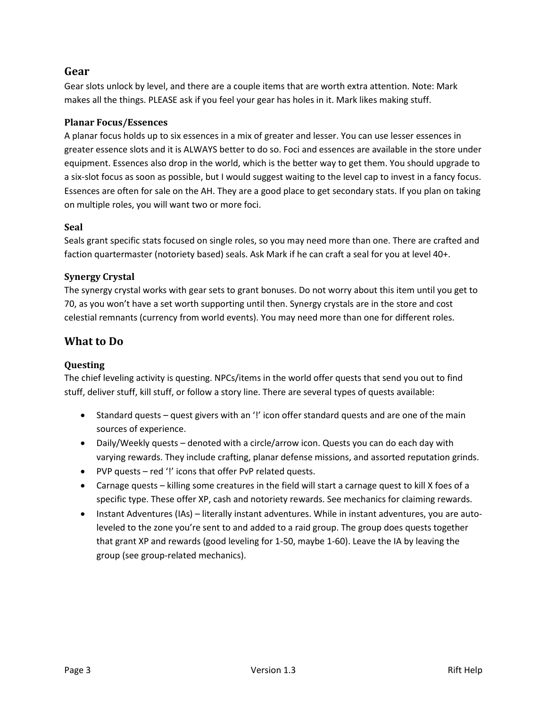# **Gear**

Gear slots unlock by level, and there are a couple items that are worth extra attention. Note: Mark makes all the things. PLEASE ask if you feel your gear has holes in it. Mark likes making stuff.

## **Planar Focus/Essences**

A planar focus holds up to six essences in a mix of greater and lesser. You can use lesser essences in greater essence slots and it is ALWAYS better to do so. Foci and essences are available in the store under equipment. Essences also drop in the world, which is the better way to get them. You should upgrade to a six-slot focus as soon as possible, but I would suggest waiting to the level cap to invest in a fancy focus. Essences are often for sale on the AH. They are a good place to get secondary stats. If you plan on taking on multiple roles, you will want two or more foci.

#### **Seal**

Seals grant specific stats focused on single roles, so you may need more than one. There are crafted and faction quartermaster (notoriety based) seals. Ask Mark if he can craft a seal for you at level 40+.

## **Synergy Crystal**

The synergy crystal works with gear sets to grant bonuses. Do not worry about this item until you get to 70, as you won't have a set worth supporting until then. Synergy crystals are in the store and cost celestial remnants (currency from world events). You may need more than one for different roles.

# **What to Do**

## **Questing**

The chief leveling activity is questing. NPCs/items in the world offer quests that send you out to find stuff, deliver stuff, kill stuff, or follow a story line. There are several types of quests available:

- Standard quests quest givers with an '!' icon offer standard quests and are one of the main sources of experience.
- Daily/Weekly quests denoted with a circle/arrow icon. Quests you can do each day with varying rewards. They include crafting, planar defense missions, and assorted reputation grinds.
- PVP quests red '!' icons that offer PvP related quests.
- Carnage quests killing some creatures in the field will start a carnage quest to kill X foes of a specific type. These offer XP, cash and notoriety rewards. See mechanics for claiming rewards.
- Instant Adventures (IAs) literally instant adventures. While in instant adventures, you are autoleveled to the zone you're sent to and added to a raid group. The group does quests together that grant XP and rewards (good leveling for 1-50, maybe 1-60). Leave the IA by leaving the group (see group-related mechanics).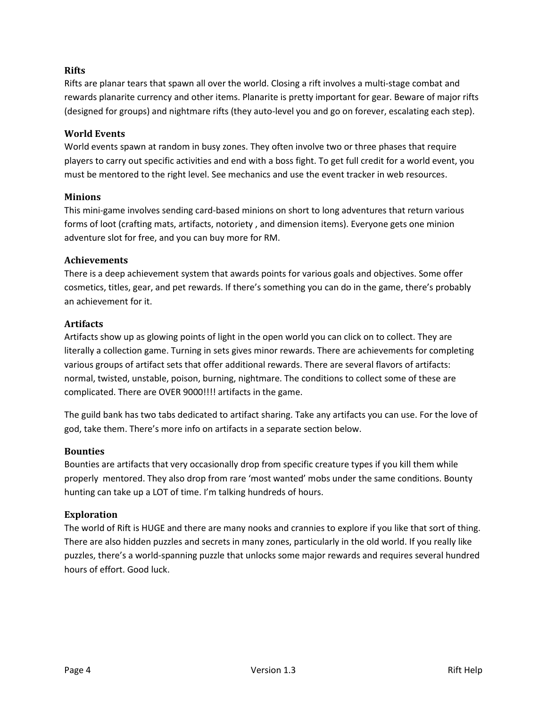#### **Rifts**

Rifts are planar tears that spawn all over the world. Closing a rift involves a multi-stage combat and rewards planarite currency and other items. Planarite is pretty important for gear. Beware of major rifts (designed for groups) and nightmare rifts (they auto-level you and go on forever, escalating each step).

#### **World Events**

World events spawn at random in busy zones. They often involve two or three phases that require players to carry out specific activities and end with a boss fight. To get full credit for a world event, you must be mentored to the right level. See mechanics and use the event tracker in web resources.

#### **Minions**

This mini-game involves sending card-based minions on short to long adventures that return various forms of loot (crafting mats, artifacts, notoriety , and dimension items). Everyone gets one minion adventure slot for free, and you can buy more for RM.

#### **Achievements**

There is a deep achievement system that awards points for various goals and objectives. Some offer cosmetics, titles, gear, and pet rewards. If there's something you can do in the game, there's probably an achievement for it.

#### **Artifacts**

Artifacts show up as glowing points of light in the open world you can click on to collect. They are literally a collection game. Turning in sets gives minor rewards. There are achievements for completing various groups of artifact sets that offer additional rewards. There are several flavors of artifacts: normal, twisted, unstable, poison, burning, nightmare. The conditions to collect some of these are complicated. There are OVER 9000!!!! artifacts in the game.

The guild bank has two tabs dedicated to artifact sharing. Take any artifacts you can use. For the love of god, take them. There's more info on artifacts in a separate section below.

#### **Bounties**

Bounties are artifacts that very occasionally drop from specific creature types if you kill them while properly mentored. They also drop from rare 'most wanted' mobs under the same conditions. Bounty hunting can take up a LOT of time. I'm talking hundreds of hours.

#### **Exploration**

The world of Rift is HUGE and there are many nooks and crannies to explore if you like that sort of thing. There are also hidden puzzles and secrets in many zones, particularly in the old world. If you really like puzzles, there's a world-spanning puzzle that unlocks some major rewards and requires several hundred hours of effort. Good luck.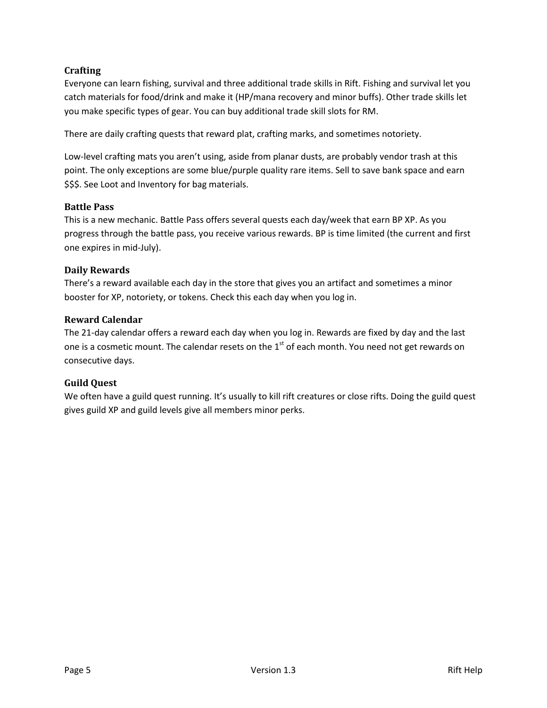## **Crafting**

Everyone can learn fishing, survival and three additional trade skills in Rift. Fishing and survival let you catch materials for food/drink and make it (HP/mana recovery and minor buffs). Other trade skills let you make specific types of gear. You can buy additional trade skill slots for RM.

There are daily crafting quests that reward plat, crafting marks, and sometimes notoriety.

Low-level crafting mats you aren't using, aside from planar dusts, are probably vendor trash at this point. The only exceptions are some blue/purple quality rare items. Sell to save bank space and earn \$\$\$. See Loot and Inventory for bag materials.

#### **Battle Pass**

This is a new mechanic. Battle Pass offers several quests each day/week that earn BP XP. As you progress through the battle pass, you receive various rewards. BP is time limited (the current and first one expires in mid-July).

## **Daily Rewards**

There's a reward available each day in the store that gives you an artifact and sometimes a minor booster for XP, notoriety, or tokens. Check this each day when you log in.

#### **Reward Calendar**

The 21-day calendar offers a reward each day when you log in. Rewards are fixed by day and the last one is a cosmetic mount. The calendar resets on the  $1<sup>st</sup>$  of each month. You need not get rewards on consecutive days.

## **Guild Quest**

We often have a guild quest running. It's usually to kill rift creatures or close rifts. Doing the guild quest gives guild XP and guild levels give all members minor perks.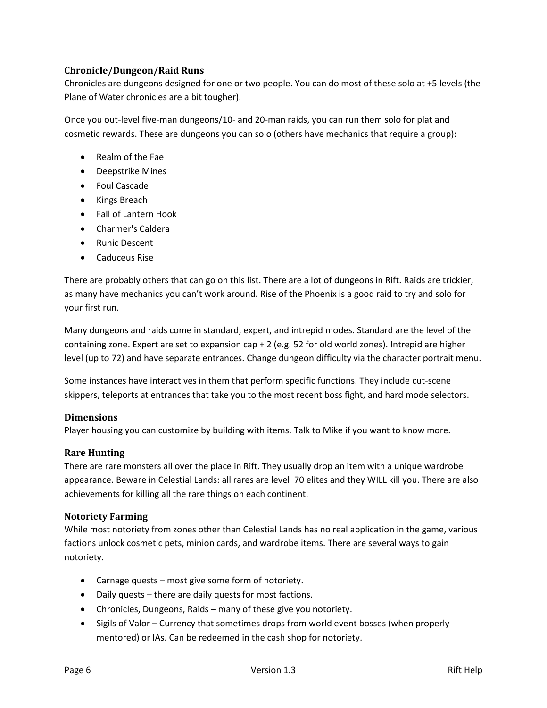## **Chronicle/Dungeon/Raid Runs**

Chronicles are dungeons designed for one or two people. You can do most of these solo at +5 levels (the Plane of Water chronicles are a bit tougher).

Once you out-level five-man dungeons/10- and 20-man raids, you can run them solo for plat and cosmetic rewards. These are dungeons you can solo (others have mechanics that require a group):

- Realm of the Fae
- Deepstrike Mines
- Foul Cascade
- Kings Breach
- Fall of Lantern Hook
- Charmer's Caldera
- Runic Descent
- Caduceus Rise

There are probably others that can go on this list. There are a lot of dungeons in Rift. Raids are trickier, as many have mechanics you can't work around. Rise of the Phoenix is a good raid to try and solo for your first run.

Many dungeons and raids come in standard, expert, and intrepid modes. Standard are the level of the containing zone. Expert are set to expansion cap + 2 (e.g. 52 for old world zones). Intrepid are higher level (up to 72) and have separate entrances. Change dungeon difficulty via the character portrait menu.

Some instances have interactives in them that perform specific functions. They include cut-scene skippers, teleports at entrances that take you to the most recent boss fight, and hard mode selectors.

## **Dimensions**

Player housing you can customize by building with items. Talk to Mike if you want to know more.

## **Rare Hunting**

There are rare monsters all over the place in Rift. They usually drop an item with a unique wardrobe appearance. Beware in Celestial Lands: all rares are level 70 elites and they WILL kill you. There are also achievements for killing all the rare things on each continent.

## **Notoriety Farming**

While most notoriety from zones other than Celestial Lands has no real application in the game, various factions unlock cosmetic pets, minion cards, and wardrobe items. There are several ways to gain notoriety.

- Carnage quests most give some form of notoriety.
- Daily quests there are daily quests for most factions.
- Chronicles, Dungeons, Raids many of these give you notoriety.
- Sigils of Valor Currency that sometimes drops from world event bosses (when properly mentored) or IAs. Can be redeemed in the cash shop for notoriety.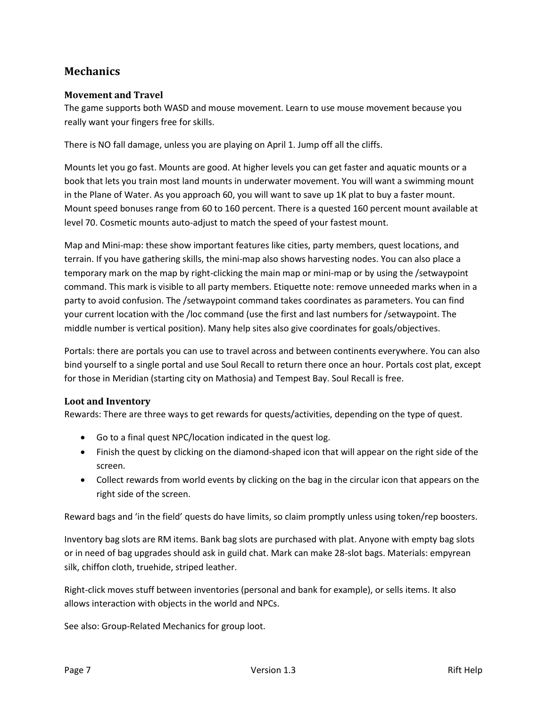# **Mechanics**

## **Movement and Travel**

The game supports both WASD and mouse movement. Learn to use mouse movement because you really want your fingers free for skills.

There is NO fall damage, unless you are playing on April 1. Jump off all the cliffs.

Mounts let you go fast. Mounts are good. At higher levels you can get faster and aquatic mounts or a book that lets you train most land mounts in underwater movement. You will want a swimming mount in the Plane of Water. As you approach 60, you will want to save up 1K plat to buy a faster mount. Mount speed bonuses range from 60 to 160 percent. There is a quested 160 percent mount available at level 70. Cosmetic mounts auto-adjust to match the speed of your fastest mount.

Map and Mini-map: these show important features like cities, party members, quest locations, and terrain. If you have gathering skills, the mini-map also shows harvesting nodes. You can also place a temporary mark on the map by right-clicking the main map or mini-map or by using the /setwaypoint command. This mark is visible to all party members. Etiquette note: remove unneeded marks when in a party to avoid confusion. The /setwaypoint command takes coordinates as parameters. You can find your current location with the /loc command (use the first and last numbers for /setwaypoint. The middle number is vertical position). Many help sites also give coordinates for goals/objectives.

Portals: there are portals you can use to travel across and between continents everywhere. You can also bind yourself to a single portal and use Soul Recall to return there once an hour. Portals cost plat, except for those in Meridian (starting city on Mathosia) and Tempest Bay. Soul Recall is free.

## **Loot and Inventory**

Rewards: There are three ways to get rewards for quests/activities, depending on the type of quest.

- Go to a final quest NPC/location indicated in the quest log.
- Finish the quest by clicking on the diamond-shaped icon that will appear on the right side of the screen.
- Collect rewards from world events by clicking on the bag in the circular icon that appears on the right side of the screen.

Reward bags and 'in the field' quests do have limits, so claim promptly unless using token/rep boosters.

Inventory bag slots are RM items. Bank bag slots are purchased with plat. Anyone with empty bag slots or in need of bag upgrades should ask in guild chat. Mark can make 28-slot bags. Materials: empyrean silk, chiffon cloth, truehide, striped leather.

Right-click moves stuff between inventories (personal and bank for example), or sells items. It also allows interaction with objects in the world and NPCs.

See also: Group-Related Mechanics for group loot.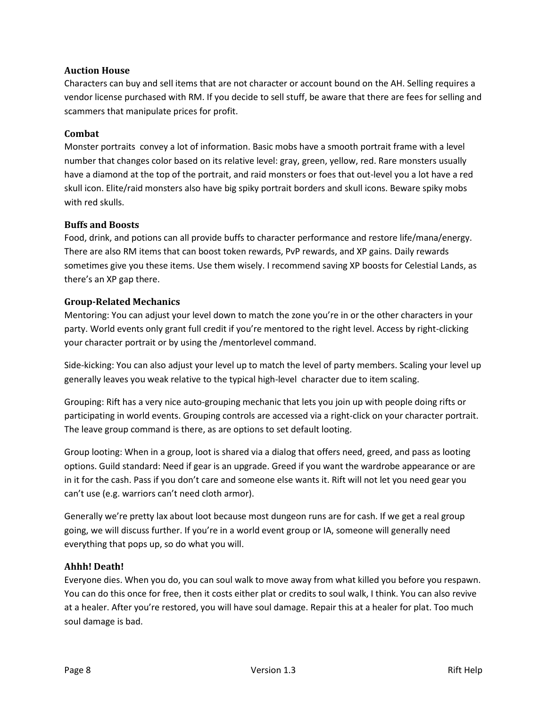#### **Auction House**

Characters can buy and sell items that are not character or account bound on the AH. Selling requires a vendor license purchased with RM. If you decide to sell stuff, be aware that there are fees for selling and scammers that manipulate prices for profit.

#### **Combat**

Monster portraits convey a lot of information. Basic mobs have a smooth portrait frame with a level number that changes color based on its relative level: gray, green, yellow, red. Rare monsters usually have a diamond at the top of the portrait, and raid monsters or foes that out-level you a lot have a red skull icon. Elite/raid monsters also have big spiky portrait borders and skull icons. Beware spiky mobs with red skulls.

#### **Buffs and Boosts**

Food, drink, and potions can all provide buffs to character performance and restore life/mana/energy. There are also RM items that can boost token rewards, PvP rewards, and XP gains. Daily rewards sometimes give you these items. Use them wisely. I recommend saving XP boosts for Celestial Lands, as there's an XP gap there.

#### **Group-Related Mechanics**

Mentoring: You can adjust your level down to match the zone you're in or the other characters in your party. World events only grant full credit if you're mentored to the right level. Access by right-clicking your character portrait or by using the /mentorlevel command.

Side-kicking: You can also adjust your level up to match the level of party members. Scaling your level up generally leaves you weak relative to the typical high-level character due to item scaling.

Grouping: Rift has a very nice auto-grouping mechanic that lets you join up with people doing rifts or participating in world events. Grouping controls are accessed via a right-click on your character portrait. The leave group command is there, as are options to set default looting.

Group looting: When in a group, loot is shared via a dialog that offers need, greed, and pass as looting options. Guild standard: Need if gear is an upgrade. Greed if you want the wardrobe appearance or are in it for the cash. Pass if you don't care and someone else wants it. Rift will not let you need gear you can't use (e.g. warriors can't need cloth armor).

Generally we're pretty lax about loot because most dungeon runs are for cash. If we get a real group going, we will discuss further. If you're in a world event group or IA, someone will generally need everything that pops up, so do what you will.

## **Ahhh! Death!**

Everyone dies. When you do, you can soul walk to move away from what killed you before you respawn. You can do this once for free, then it costs either plat or credits to soul walk, I think. You can also revive at a healer. After you're restored, you will have soul damage. Repair this at a healer for plat. Too much soul damage is bad.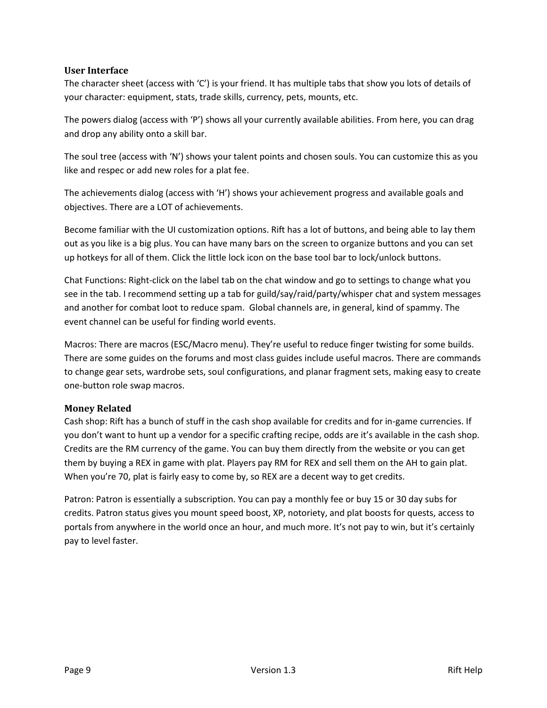#### **User Interface**

The character sheet (access with 'C') is your friend. It has multiple tabs that show you lots of details of your character: equipment, stats, trade skills, currency, pets, mounts, etc.

The powers dialog (access with 'P') shows all your currently available abilities. From here, you can drag and drop any ability onto a skill bar.

The soul tree (access with 'N') shows your talent points and chosen souls. You can customize this as you like and respec or add new roles for a plat fee.

The achievements dialog (access with 'H') shows your achievement progress and available goals and objectives. There are a LOT of achievements.

Become familiar with the UI customization options. Rift has a lot of buttons, and being able to lay them out as you like is a big plus. You can have many bars on the screen to organize buttons and you can set up hotkeys for all of them. Click the little lock icon on the base tool bar to lock/unlock buttons.

Chat Functions: Right-click on the label tab on the chat window and go to settings to change what you see in the tab. I recommend setting up a tab for guild/say/raid/party/whisper chat and system messages and another for combat loot to reduce spam. Global channels are, in general, kind of spammy. The event channel can be useful for finding world events.

Macros: There are macros (ESC/Macro menu). They're useful to reduce finger twisting for some builds. There are some guides on the forums and most class guides include useful macros. There are commands to change gear sets, wardrobe sets, soul configurations, and planar fragment sets, making easy to create one-button role swap macros.

## **Money Related**

Cash shop: Rift has a bunch of stuff in the cash shop available for credits and for in-game currencies. If you don't want to hunt up a vendor for a specific crafting recipe, odds are it's available in the cash shop. Credits are the RM currency of the game. You can buy them directly from the website or you can get them by buying a REX in game with plat. Players pay RM for REX and sell them on the AH to gain plat. When you're 70, plat is fairly easy to come by, so REX are a decent way to get credits.

Patron: Patron is essentially a subscription. You can pay a monthly fee or buy 15 or 30 day subs for credits. Patron status gives you mount speed boost, XP, notoriety, and plat boosts for quests, access to portals from anywhere in the world once an hour, and much more. It's not pay to win, but it's certainly pay to level faster.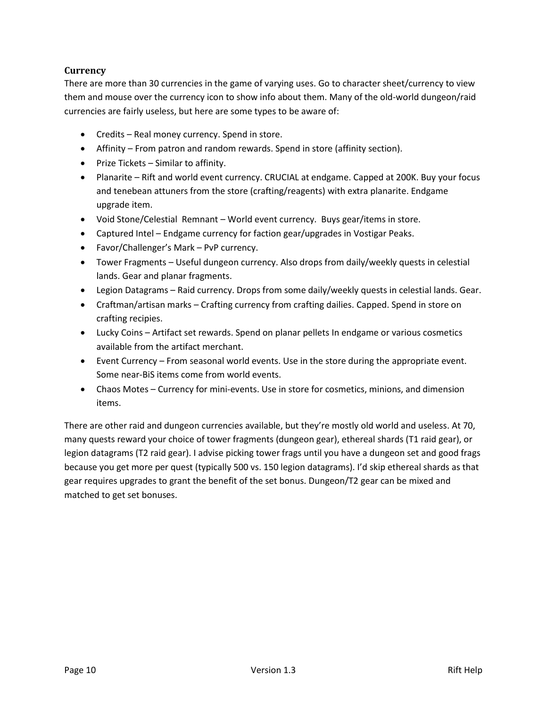## **Currency**

There are more than 30 currencies in the game of varying uses. Go to character sheet/currency to view them and mouse over the currency icon to show info about them. Many of the old-world dungeon/raid currencies are fairly useless, but here are some types to be aware of:

- Credits Real money currency. Spend in store.
- Affinity From patron and random rewards. Spend in store (affinity section).
- Prize Tickets Similar to affinity.
- Planarite Rift and world event currency. CRUCIAL at endgame. Capped at 200K. Buy your focus and tenebean attuners from the store (crafting/reagents) with extra planarite. Endgame upgrade item.
- Void Stone/Celestial Remnant World event currency. Buys gear/items in store.
- Captured Intel Endgame currency for faction gear/upgrades in Vostigar Peaks.
- Favor/Challenger's Mark PvP currency.
- Tower Fragments Useful dungeon currency. Also drops from daily/weekly quests in celestial lands. Gear and planar fragments.
- Legion Datagrams Raid currency. Drops from some daily/weekly quests in celestial lands. Gear.
- Craftman/artisan marks Crafting currency from crafting dailies. Capped. Spend in store on crafting recipies.
- Lucky Coins Artifact set rewards. Spend on planar pellets In endgame or various cosmetics available from the artifact merchant.
- Event Currency From seasonal world events. Use in the store during the appropriate event. Some near-BiS items come from world events.
- Chaos Motes Currency for mini-events. Use in store for cosmetics, minions, and dimension items.

There are other raid and dungeon currencies available, but they're mostly old world and useless. At 70, many quests reward your choice of tower fragments (dungeon gear), ethereal shards (T1 raid gear), or legion datagrams (T2 raid gear). I advise picking tower frags until you have a dungeon set and good frags because you get more per quest (typically 500 vs. 150 legion datagrams). I'd skip ethereal shards as that gear requires upgrades to grant the benefit of the set bonus. Dungeon/T2 gear can be mixed and matched to get set bonuses.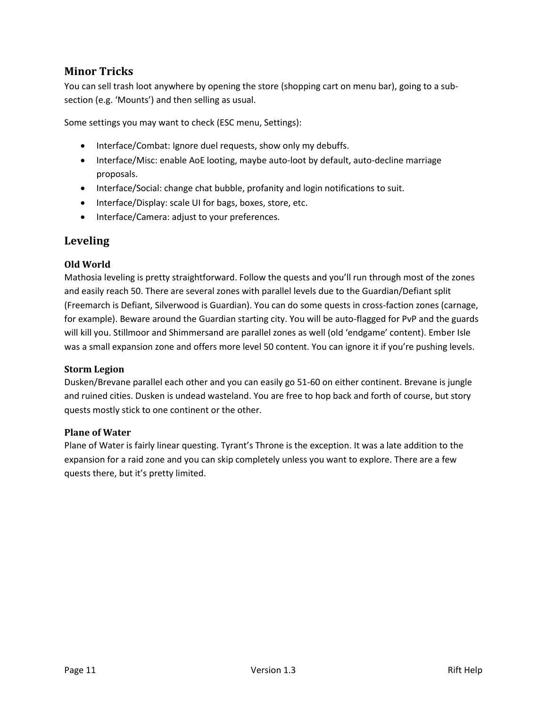# **Minor Tricks**

You can sell trash loot anywhere by opening the store (shopping cart on menu bar), going to a subsection (e.g. 'Mounts') and then selling as usual.

Some settings you may want to check (ESC menu, Settings):

- Interface/Combat: Ignore duel requests, show only my debuffs.
- Interface/Misc: enable AoE looting, maybe auto-loot by default, auto-decline marriage proposals.
- Interface/Social: change chat bubble, profanity and login notifications to suit.
- Interface/Display: scale UI for bags, boxes, store, etc.
- Interface/Camera: adjust to your preferences.

## **Leveling**

#### **Old World**

Mathosia leveling is pretty straightforward. Follow the quests and you'll run through most of the zones and easily reach 50. There are several zones with parallel levels due to the Guardian/Defiant split (Freemarch is Defiant, Silverwood is Guardian). You can do some quests in cross-faction zones (carnage, for example). Beware around the Guardian starting city. You will be auto-flagged for PvP and the guards will kill you. Stillmoor and Shimmersand are parallel zones as well (old 'endgame' content). Ember Isle was a small expansion zone and offers more level 50 content. You can ignore it if you're pushing levels.

#### **Storm Legion**

Dusken/Brevane parallel each other and you can easily go 51-60 on either continent. Brevane is jungle and ruined cities. Dusken is undead wasteland. You are free to hop back and forth of course, but story quests mostly stick to one continent or the other.

#### **Plane of Water**

Plane of Water is fairly linear questing. Tyrant's Throne is the exception. It was a late addition to the expansion for a raid zone and you can skip completely unless you want to explore. There are a few quests there, but it's pretty limited.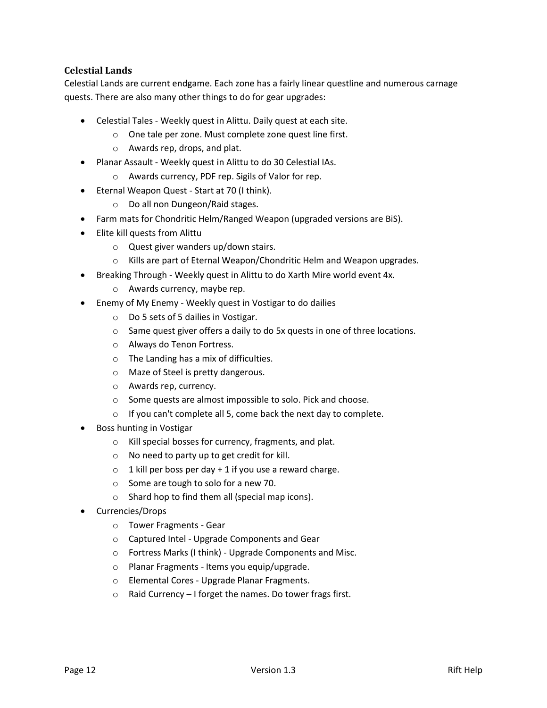## **Celestial Lands**

Celestial Lands are current endgame. Each zone has a fairly linear questline and numerous carnage quests. There are also many other things to do for gear upgrades:

- Celestial Tales Weekly quest in Alittu. Daily quest at each site.
	- o One tale per zone. Must complete zone quest line first.
	- o Awards rep, drops, and plat.
- Planar Assault Weekly quest in Alittu to do 30 Celestial IAs.
	- o Awards currency, PDF rep. Sigils of Valor for rep.
- Eternal Weapon Quest Start at 70 (I think).
	- o Do all non Dungeon/Raid stages.
- Farm mats for Chondritic Helm/Ranged Weapon (upgraded versions are BiS).
- Elite kill quests from Alittu
	- o Quest giver wanders up/down stairs.
	- o Kills are part of Eternal Weapon/Chondritic Helm and Weapon upgrades.
- Breaking Through Weekly quest in Alittu to do Xarth Mire world event 4x.
	- o Awards currency, maybe rep.
- Enemy of My Enemy Weekly quest in Vostigar to do dailies
	- o Do 5 sets of 5 dailies in Vostigar.
	- o Same quest giver offers a daily to do 5x quests in one of three locations.
	- o Always do Tenon Fortress.
	- o The Landing has a mix of difficulties.
	- o Maze of Steel is pretty dangerous.
	- o Awards rep, currency.
	- o Some quests are almost impossible to solo. Pick and choose.
	- $\circ$  If you can't complete all 5, come back the next day to complete.
- Boss hunting in Vostigar
	- o Kill special bosses for currency, fragments, and plat.
	- o No need to party up to get credit for kill.
	- $\circ$  1 kill per boss per day + 1 if you use a reward charge.
	- o Some are tough to solo for a new 70.
	- o Shard hop to find them all (special map icons).
- Currencies/Drops
	- o Tower Fragments Gear
	- o Captured Intel Upgrade Components and Gear
	- o Fortress Marks (I think) Upgrade Components and Misc.
	- o Planar Fragments Items you equip/upgrade.
	- o Elemental Cores Upgrade Planar Fragments.
	- o Raid Currency I forget the names. Do tower frags first.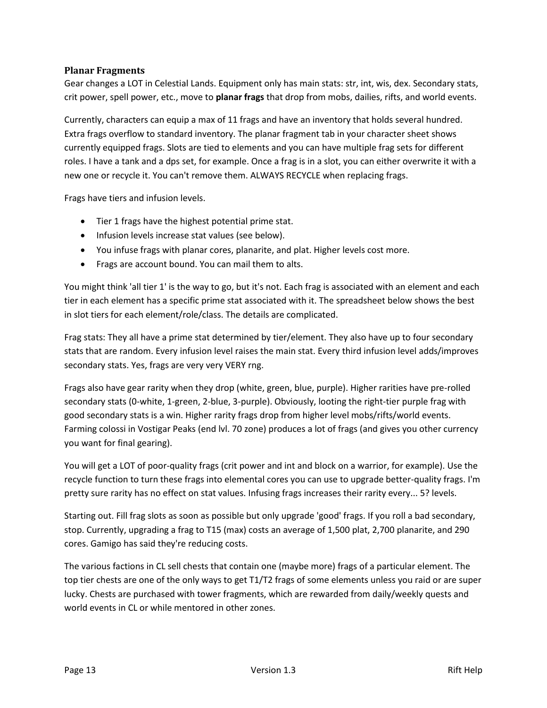#### **Planar Fragments**

Gear changes a LOT in Celestial Lands. Equipment only has main stats: str, int, wis, dex. Secondary stats, crit power, spell power, etc., move to **planar frags** that drop from mobs, dailies, rifts, and world events.

Currently, characters can equip a max of 11 frags and have an inventory that holds several hundred. Extra frags overflow to standard inventory. The planar fragment tab in your character sheet shows currently equipped frags. Slots are tied to elements and you can have multiple frag sets for different roles. I have a tank and a dps set, for example. Once a frag is in a slot, you can either overwrite it with a new one or recycle it. You can't remove them. ALWAYS RECYCLE when replacing frags.

Frags have tiers and infusion levels.

- Tier 1 frags have the highest potential prime stat.
- Infusion levels increase stat values (see below).
- You infuse frags with planar cores, planarite, and plat. Higher levels cost more.
- Frags are account bound. You can mail them to alts.

You might think 'all tier 1' is the way to go, but it's not. Each frag is associated with an element and each tier in each element has a specific prime stat associated with it. The spreadsheet below shows the best in slot tiers for each element/role/class. The details are complicated.

Frag stats: They all have a prime stat determined by tier/element. They also have up to four secondary stats that are random. Every infusion level raises the main stat. Every third infusion level adds/improves secondary stats. Yes, frags are very very VERY rng.

Frags also have gear rarity when they drop (white, green, blue, purple). Higher rarities have pre-rolled secondary stats (0-white, 1-green, 2-blue, 3-purple). Obviously, looting the right-tier purple frag with good secondary stats is a win. Higher rarity frags drop from higher level mobs/rifts/world events. Farming colossi in Vostigar Peaks (end lvl. 70 zone) produces a lot of frags (and gives you other currency you want for final gearing).

You will get a LOT of poor-quality frags (crit power and int and block on a warrior, for example). Use the recycle function to turn these frags into elemental cores you can use to upgrade better-quality frags. I'm pretty sure rarity has no effect on stat values. Infusing frags increases their rarity every... 5? levels.

Starting out. Fill frag slots as soon as possible but only upgrade 'good' frags. If you roll a bad secondary, stop. Currently, upgrading a frag to T15 (max) costs an average of 1,500 plat, 2,700 planarite, and 290 cores. Gamigo has said they're reducing costs.

The various factions in CL sell chests that contain one (maybe more) frags of a particular element. The top tier chests are one of the only ways to get T1/T2 frags of some elements unless you raid or are super lucky. Chests are purchased with tower fragments, which are rewarded from daily/weekly quests and world events in CL or while mentored in other zones.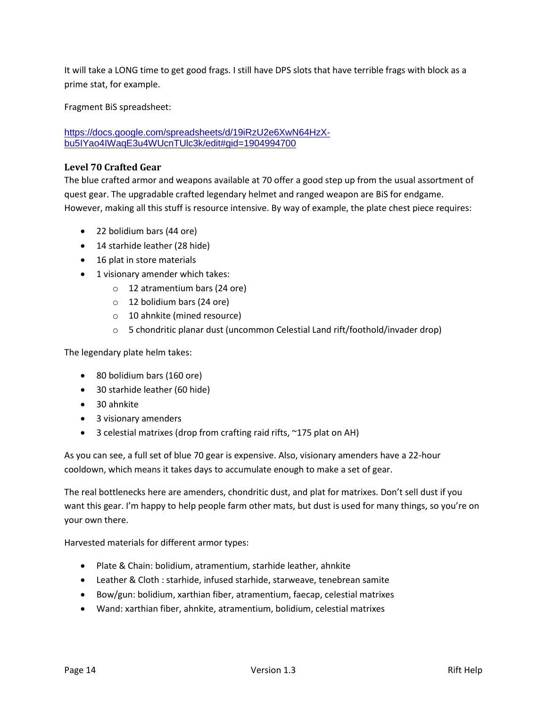It will take a LONG time to get good frags. I still have DPS slots that have terrible frags with block as a prime stat, for example.

Fragment BiS spreadsheet:

[https://docs.google.com/spreadsheets/d/19iRzU2e6XwN64HzX](https://docs.google.com/spreadsheets/d/19iRzU2e6XwN64HzX-bu5IYao4IWaqE3u4WUcnTUlc3k/edit#gid=1904994700)[bu5IYao4IWaqE3u4WUcnTUlc3k/edit#gid=1904994700](https://docs.google.com/spreadsheets/d/19iRzU2e6XwN64HzX-bu5IYao4IWaqE3u4WUcnTUlc3k/edit#gid=1904994700)

#### **Level 70 Crafted Gear**

The blue crafted armor and weapons available at 70 offer a good step up from the usual assortment of quest gear. The upgradable crafted legendary helmet and ranged weapon are BiS for endgame. However, making all this stuff is resource intensive. By way of example, the plate chest piece requires:

- 22 bolidium bars (44 ore)
- 14 starhide leather (28 hide)
- 16 plat in store materials
- 1 visionary amender which takes:
	- o 12 atramentium bars (24 ore)
	- o 12 bolidium bars (24 ore)
	- o 10 ahnkite (mined resource)
	- o 5 chondritic planar dust (uncommon Celestial Land rift/foothold/invader drop)

The legendary plate helm takes:

- 80 bolidium bars (160 ore)
- 30 starhide leather (60 hide)
- 30 ahnkite
- 3 visionary amenders
- 3 celestial matrixes (drop from crafting raid rifts, ~175 plat on AH)

As you can see, a full set of blue 70 gear is expensive. Also, visionary amenders have a 22-hour cooldown, which means it takes days to accumulate enough to make a set of gear.

The real bottlenecks here are amenders, chondritic dust, and plat for matrixes. Don't sell dust if you want this gear. I'm happy to help people farm other mats, but dust is used for many things, so you're on your own there.

Harvested materials for different armor types:

- Plate & Chain: bolidium, atramentium, starhide leather, ahnkite
- Leather & Cloth : starhide, infused starhide, starweave, tenebrean samite
- Bow/gun: bolidium, xarthian fiber, atramentium, faecap, celestial matrixes
- Wand: xarthian fiber, ahnkite, atramentium, bolidium, celestial matrixes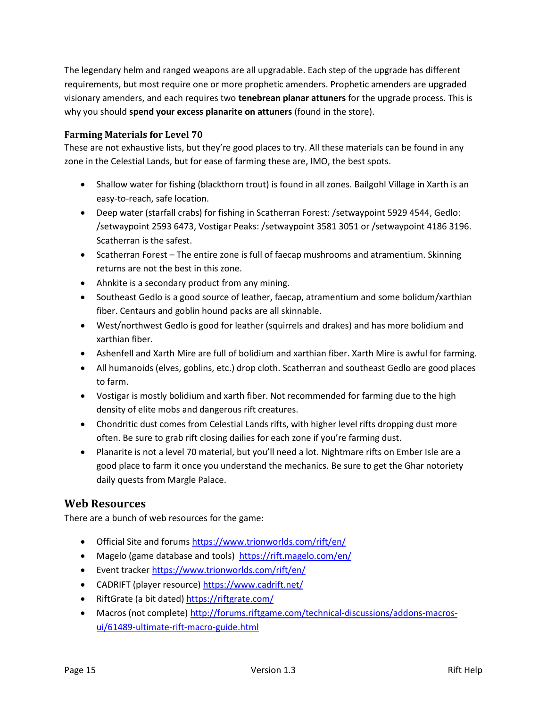The legendary helm and ranged weapons are all upgradable. Each step of the upgrade has different requirements, but most require one or more prophetic amenders. Prophetic amenders are upgraded visionary amenders, and each requires two **tenebrean planar attuners** for the upgrade process. This is why you should **spend your excess planarite on attuners** (found in the store).

## **Farming Materials for Level 70**

These are not exhaustive lists, but they're good places to try. All these materials can be found in any zone in the Celestial Lands, but for ease of farming these are, IMO, the best spots.

- Shallow water for fishing (blackthorn trout) is found in all zones. Bailgohl Village in Xarth is an easy-to-reach, safe location.
- Deep water (starfall crabs) for fishing in Scatherran Forest: /setwaypoint 5929 4544, Gedlo: /setwaypoint 2593 6473, Vostigar Peaks: /setwaypoint 3581 3051 or /setwaypoint 4186 3196. Scatherran is the safest.
- Scatherran Forest The entire zone is full of faecap mushrooms and atramentium. Skinning returns are not the best in this zone.
- Ahnkite is a secondary product from any mining.
- Southeast Gedlo is a good source of leather, faecap, atramentium and some bolidum/xarthian fiber. Centaurs and goblin hound packs are all skinnable.
- West/northwest Gedlo is good for leather (squirrels and drakes) and has more bolidium and xarthian fiber.
- Ashenfell and Xarth Mire are full of bolidium and xarthian fiber. Xarth Mire is awful for farming.
- All humanoids (elves, goblins, etc.) drop cloth. Scatherran and southeast Gedlo are good places to farm.
- Vostigar is mostly bolidium and xarth fiber. Not recommended for farming due to the high density of elite mobs and dangerous rift creatures.
- Chondritic dust comes from Celestial Lands rifts, with higher level rifts dropping dust more often. Be sure to grab rift closing dailies for each zone if you're farming dust.
- Planarite is not a level 70 material, but you'll need a lot. Nightmare rifts on Ember Isle are a good place to farm it once you understand the mechanics. Be sure to get the Ghar notoriety daily quests from Margle Palace.

# **Web Resources**

There are a bunch of web resources for the game:

- Official Site and forums<https://www.trionworlds.com/rift/en/>
- Magelo (game database and tools)<https://rift.magelo.com/en/>
- Event tracker<https://www.trionworlds.com/rift/en/>
- CADRIFT (player resource)<https://www.cadrift.net/>
- RiftGrate (a bit dated[\) https://riftgrate.com/](https://riftgrate.com/)
- Macros (not complete) [http://forums.riftgame.com/technical-discussions/addons-macros](http://forums.riftgame.com/technical-discussions/addons-macros-ui/61489-ultimate-rift-macro-guide.html)[ui/61489-ultimate-rift-macro-guide.html](http://forums.riftgame.com/technical-discussions/addons-macros-ui/61489-ultimate-rift-macro-guide.html)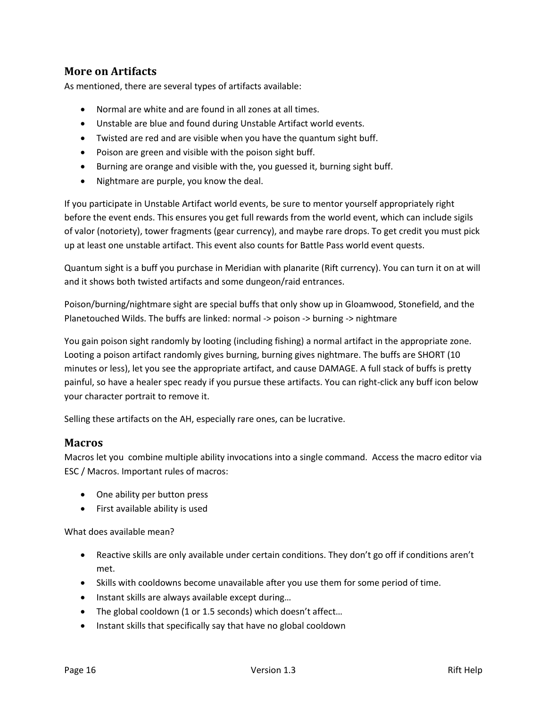# **More on Artifacts**

As mentioned, there are several types of artifacts available:

- Normal are white and are found in all zones at all times.
- Unstable are blue and found during Unstable Artifact world events.
- Twisted are red and are visible when you have the quantum sight buff.
- Poison are green and visible with the poison sight buff.
- Burning are orange and visible with the, you guessed it, burning sight buff.
- Nightmare are purple, you know the deal.

If you participate in Unstable Artifact world events, be sure to mentor yourself appropriately right before the event ends. This ensures you get full rewards from the world event, which can include sigils of valor (notoriety), tower fragments (gear currency), and maybe rare drops. To get credit you must pick up at least one unstable artifact. This event also counts for Battle Pass world event quests.

Quantum sight is a buff you purchase in Meridian with planarite (Rift currency). You can turn it on at will and it shows both twisted artifacts and some dungeon/raid entrances.

Poison/burning/nightmare sight are special buffs that only show up in Gloamwood, Stonefield, and the Planetouched Wilds. The buffs are linked: normal -> poison -> burning -> nightmare

You gain poison sight randomly by looting (including fishing) a normal artifact in the appropriate zone. Looting a poison artifact randomly gives burning, burning gives nightmare. The buffs are SHORT (10 minutes or less), let you see the appropriate artifact, and cause DAMAGE. A full stack of buffs is pretty painful, so have a healer spec ready if you pursue these artifacts. You can right-click any buff icon below your character portrait to remove it.

Selling these artifacts on the AH, especially rare ones, can be lucrative.

## **Macros**

Macros let you combine multiple ability invocations into a single command. Access the macro editor via ESC / Macros. Important rules of macros:

- One ability per button press
- First available ability is used

What does available mean?

- Reactive skills are only available under certain conditions. They don't go off if conditions aren't met.
- Skills with cooldowns become unavailable after you use them for some period of time.
- Instant skills are always available except during...
- The global cooldown (1 or 1.5 seconds) which doesn't affect...
- Instant skills that specifically say that have no global cooldown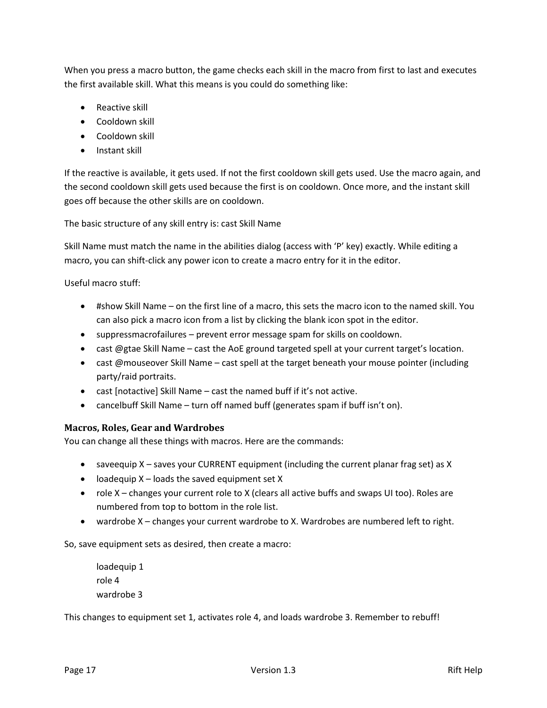When you press a macro button, the game checks each skill in the macro from first to last and executes the first available skill. What this means is you could do something like:

- Reactive skill
- Cooldown skill
- Cooldown skill
- Instant skill

If the reactive is available, it gets used. If not the first cooldown skill gets used. Use the macro again, and the second cooldown skill gets used because the first is on cooldown. Once more, and the instant skill goes off because the other skills are on cooldown.

The basic structure of any skill entry is: cast Skill Name

Skill Name must match the name in the abilities dialog (access with 'P' key) exactly. While editing a macro, you can shift-click any power icon to create a macro entry for it in the editor.

Useful macro stuff:

- #show Skill Name on the first line of a macro, this sets the macro icon to the named skill. You can also pick a macro icon from a list by clicking the blank icon spot in the editor.
- suppressmacrofailures prevent error message spam for skills on cooldown.
- cast @gtae Skill Name cast the AoE ground targeted spell at your current target's location.
- cast @mouseover Skill Name cast spell at the target beneath your mouse pointer (including party/raid portraits.
- cast [notactive] Skill Name cast the named buff if it's not active.
- cancelbuff Skill Name turn off named buff (generates spam if buff isn't on).

#### **Macros, Roles, Gear and Wardrobes**

You can change all these things with macros. Here are the commands:

- saveequip X saves your CURRENT equipment (including the current planar frag set) as X
- $\bullet$  loadequip X loads the saved equipment set X
- role X changes your current role to X (clears all active buffs and swaps UI too). Roles are numbered from top to bottom in the role list.
- wardrobe X changes your current wardrobe to X. Wardrobes are numbered left to right.

So, save equipment sets as desired, then create a macro:

loadequip 1 role 4 wardrobe 3

This changes to equipment set 1, activates role 4, and loads wardrobe 3. Remember to rebuff!